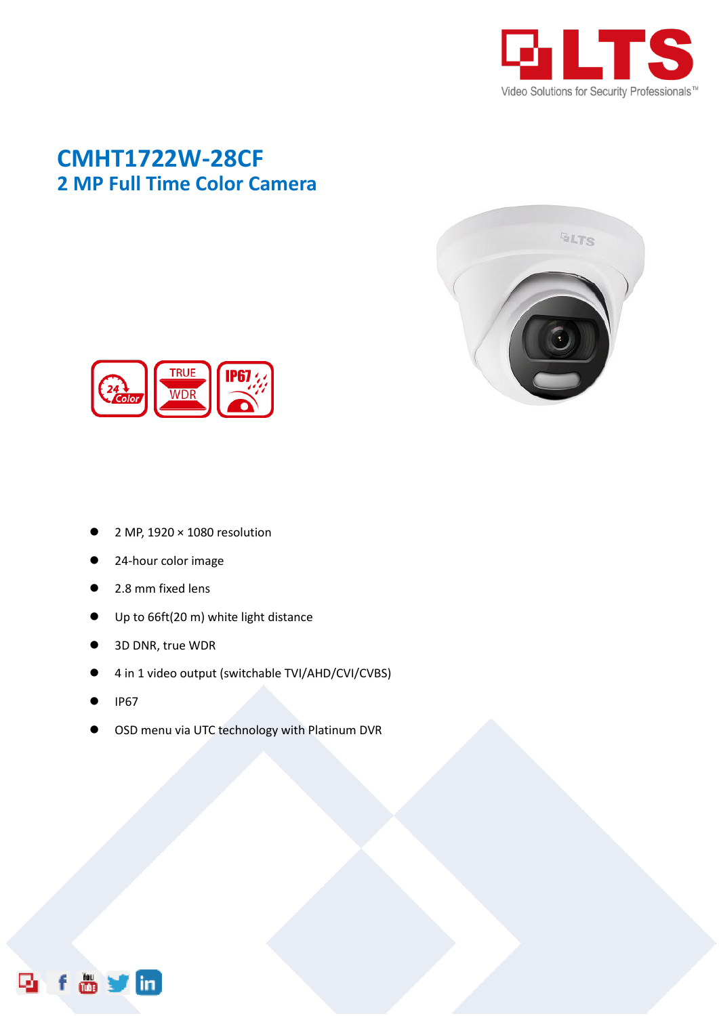

## **CMHT1722W-28CF 2 MP Full Time Color Camera**





- 2 MP, 1920 × 1080 resolution
- 24-hour color image
- 2.8 mm fixed lens
- Up to 66ft(20 m) white light distance
- 3D DNR, true WDR
- 4 in 1 video output (switchable TVI/AHD/CVI/CVBS)
- IP67
- OSD menu via UTC technology with Platinum DVR

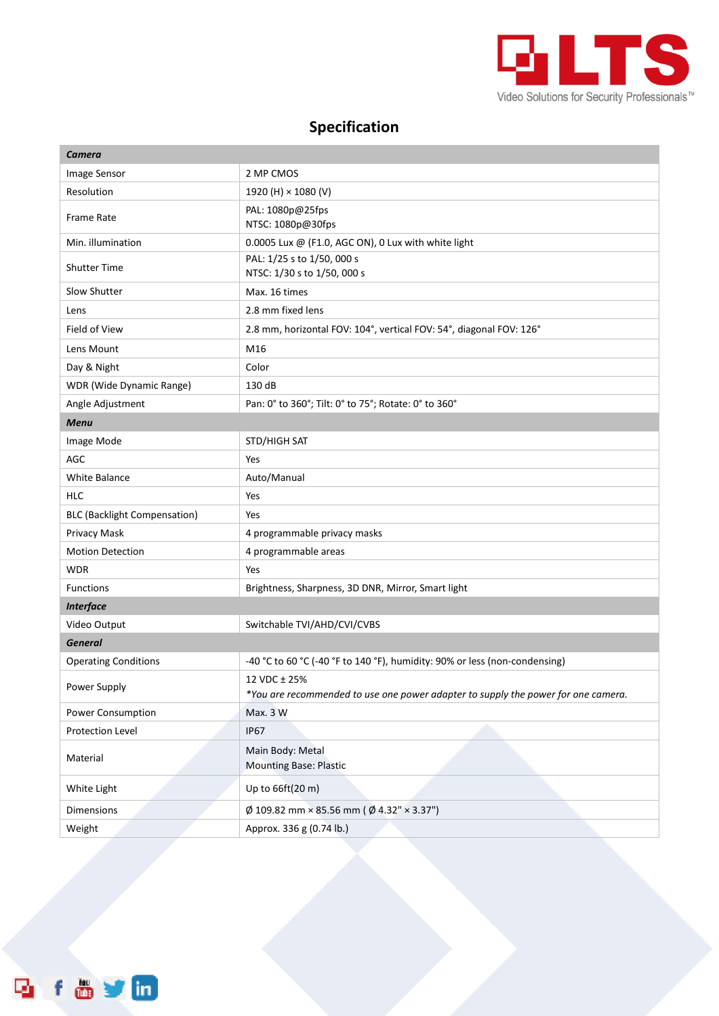

## **Specification**

| Camera                              |                                                                                                   |
|-------------------------------------|---------------------------------------------------------------------------------------------------|
| Image Sensor                        | 2 MP CMOS                                                                                         |
| Resolution                          | 1920 (H) × 1080 (V)                                                                               |
| <b>Frame Rate</b>                   | PAL: 1080p@25fps<br>NTSC: 1080p@30fps                                                             |
| Min. illumination                   | 0.0005 Lux @ (F1.0, AGC ON), 0 Lux with white light                                               |
| <b>Shutter Time</b>                 | PAL: 1/25 s to 1/50, 000 s<br>NTSC: 1/30 s to 1/50, 000 s                                         |
| Slow Shutter                        | Max. 16 times                                                                                     |
| Lens                                | 2.8 mm fixed lens                                                                                 |
| Field of View                       | 2.8 mm, horizontal FOV: 104°, vertical FOV: 54°, diagonal FOV: 126°                               |
| Lens Mount                          | M16                                                                                               |
| Day & Night                         | Color                                                                                             |
| WDR (Wide Dynamic Range)            | 130 dB                                                                                            |
| Angle Adjustment                    | Pan: 0° to 360°; Tilt: 0° to 75°; Rotate: 0° to 360°                                              |
| <b>Menu</b>                         |                                                                                                   |
| Image Mode                          | STD/HIGH SAT                                                                                      |
| AGC                                 | Yes                                                                                               |
| <b>White Balance</b>                | Auto/Manual                                                                                       |
| <b>HLC</b>                          | Yes                                                                                               |
| <b>BLC (Backlight Compensation)</b> | Yes                                                                                               |
| Privacy Mask                        | 4 programmable privacy masks                                                                      |
| <b>Motion Detection</b>             | 4 programmable areas                                                                              |
| <b>WDR</b>                          | Yes                                                                                               |
| <b>Functions</b>                    | Brightness, Sharpness, 3D DNR, Mirror, Smart light                                                |
| <b>Interface</b>                    |                                                                                                   |
| Video Output                        | Switchable TVI/AHD/CVI/CVBS                                                                       |
| <b>General</b>                      |                                                                                                   |
| <b>Operating Conditions</b>         | -40 °C to 60 °C (-40 °F to 140 °F), humidity: 90% or less (non-condensing)                        |
| Power Supply                        | 12 VDC ± 25%<br>*You are recommended to use one power adapter to supply the power for one camera. |
| Power Consumption                   | Max. 3 W                                                                                          |
| Protection Level                    | <b>IP67</b>                                                                                       |
| Material                            | Main Body: Metal<br><b>Mounting Base: Plastic</b>                                                 |
| White Light                         | Up to 66ft(20 m)                                                                                  |
| Dimensions                          | $\varnothing$ 109.82 mm × 85.56 mm ( $\varnothing$ 4.32" × 3.37")                                 |
| Weight                              | Approx. 336 g (0.74 lb.)                                                                          |

**Reform**